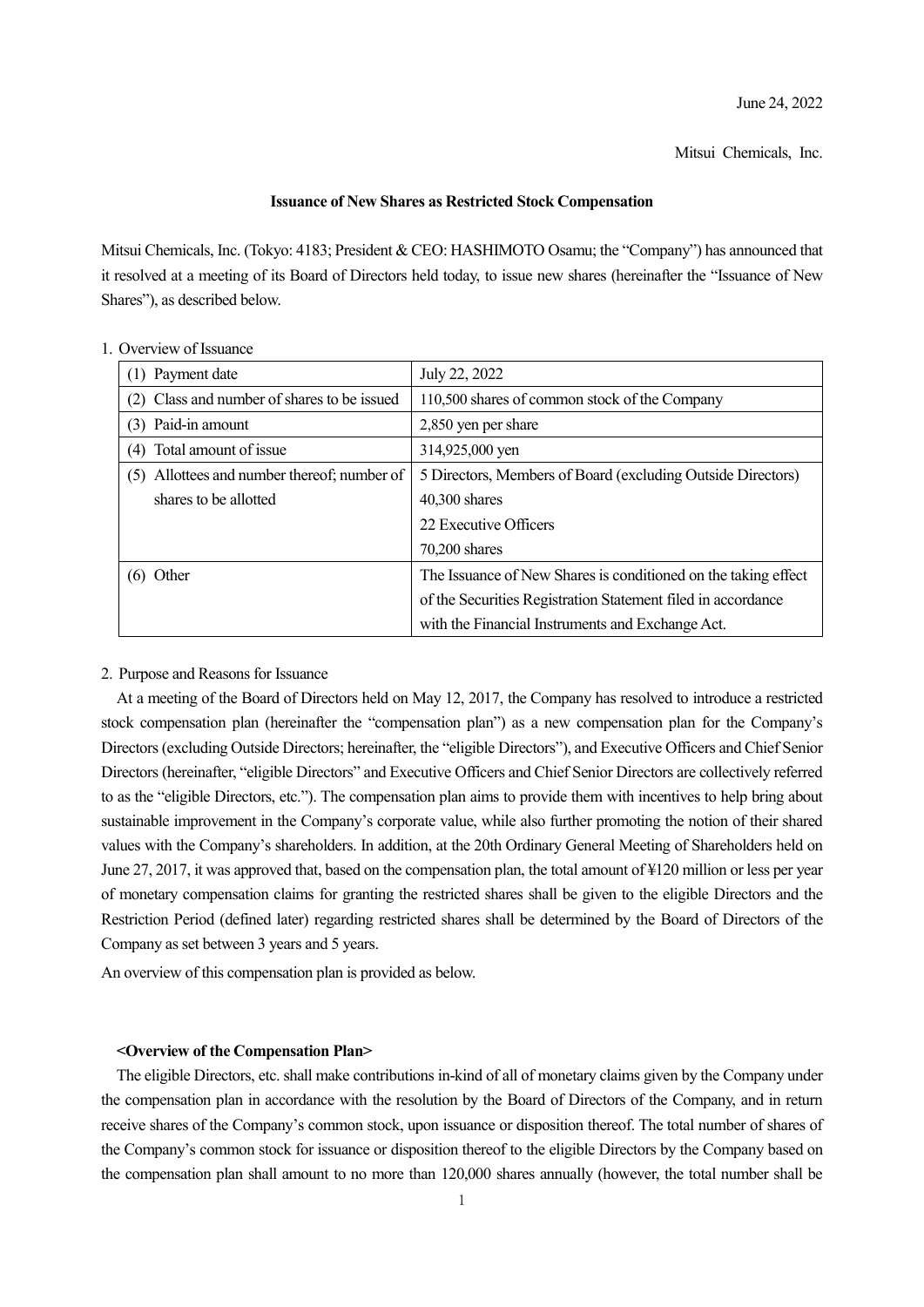Mitsui Chemicals, Inc.

## **Issuance of New Shares as Restricted Stock Compensation**

Mitsui Chemicals, Inc. (Tokyo: 4183; President & CEO: HASHIMOTO Osamu; the "Company") has announced that it resolved at a meeting of its Board of Directors held today, to issue new shares (hereinafter the "Issuance of New Shares"), as described below.

| (1) Payment date                               | July 22, 2022                                                  |
|------------------------------------------------|----------------------------------------------------------------|
| (2) Class and number of shares to be issued    | 110,500 shares of common stock of the Company                  |
| (3) Paid-in amount                             | 2,850 yen per share                                            |
| Total amount of issue<br>(4)                   | 314,925,000 yen                                                |
| Allottees and number thereof; number of<br>(5) | 5 Directors, Members of Board (excluding Outside Directors)    |
| shares to be allotted                          | 40,300 shares                                                  |
|                                                | 22 Executive Officers                                          |
|                                                | $70,200$ shares                                                |
| $(6)$ Other                                    | The Issuance of New Shares is conditioned on the taking effect |
|                                                | of the Securities Registration Statement filed in accordance   |
|                                                | with the Financial Instruments and Exchange Act.               |

1. Overview of Issuance

#### 2. Purpose and Reasons for Issuance

At a meeting of the Board of Directors held on May 12, 2017, the Company has resolved to introduce a restricted stock compensation plan (hereinafter the "compensation plan") as a new compensation plan for the Company's Directors (excluding Outside Directors; hereinafter, the "eligible Directors"), and Executive Officers and Chief Senior Directors (hereinafter, "eligible Directors" and Executive Officers and Chief Senior Directors are collectively referred to as the "eligible Directors, etc."). The compensation plan aims to provide them with incentives to help bring about sustainable improvement in the Company's corporate value, while also further promoting the notion of their shared values with the Company's shareholders. In addition, at the 20th Ordinary General Meeting of Shareholders held on June 27, 2017, it was approved that, based on the compensation plan, the total amount of ¥120 million or less per year of monetary compensation claims for granting the restricted shares shall be given to the eligible Directors and the Restriction Period (defined later) regarding restricted shares shall be determined by the Board of Directors of the Company as set between 3 years and 5 years.

An overview of this compensation plan is provided as below.

### **<Overview of the Compensation Plan>**

The eligible Directors, etc. shall make contributions in-kind of all of monetary claims given by the Company under the compensation plan in accordance with the resolution by the Board of Directors of the Company, and in return receive shares of the Company's common stock, upon issuance or disposition thereof. The total number of shares of the Company's common stock for issuance or disposition thereof to the eligible Directors by the Company based on the compensation plan shall amount to no more than 120,000 shares annually (however, the total number shall be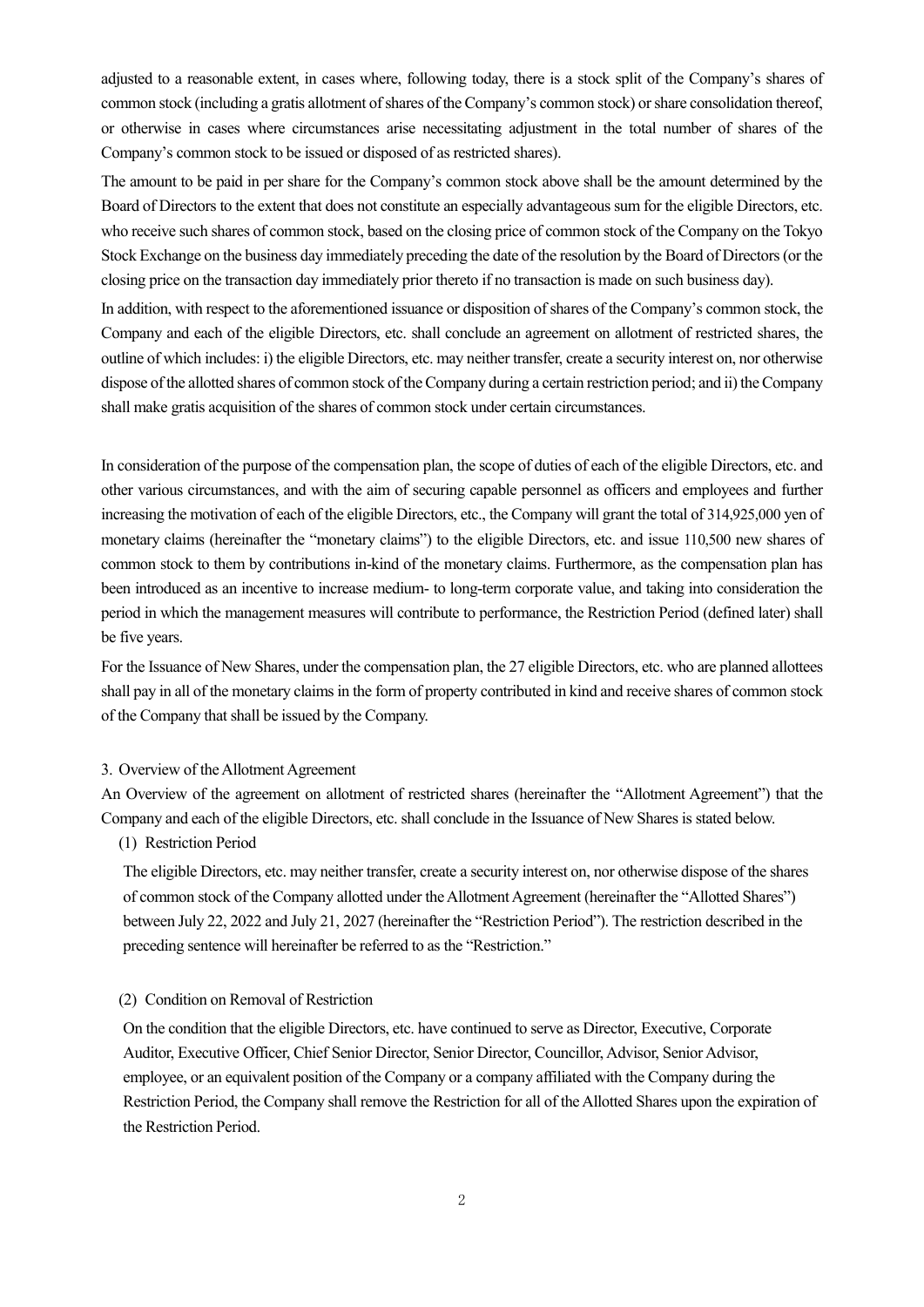adjusted to a reasonable extent, in cases where, following today, there is a stock split of the Company's shares of common stock (including a gratis allotment of shares of the Company's common stock) or share consolidation thereof, or otherwise in cases where circumstances arise necessitating adjustment in the total number of shares of the Company's common stock to be issued or disposed of as restricted shares).

The amount to be paid in per share for the Company's common stock above shall be the amount determined by the Board of Directors to the extent that does not constitute an especially advantageous sum for the eligible Directors, etc. who receive such shares of common stock, based on the closing price of common stock of the Company on the Tokyo Stock Exchange on the business day immediately preceding the date of the resolution by the Board of Directors (or the closing price on the transaction day immediately prior thereto if no transaction is made on such business day).

In addition, with respect to the aforementioned issuance or disposition of shares of the Company's common stock, the Company and each of the eligible Directors, etc. shall conclude an agreement on allotment of restricted shares, the outline of which includes: i) the eligible Directors, etc. may neither transfer, create a security interest on, nor otherwise dispose of the allotted shares of common stock of the Company during a certain restriction period; and ii) the Company shall make gratis acquisition of the shares of common stock under certain circumstances.

In consideration of the purpose of the compensation plan, the scope of duties of each of the eligible Directors, etc. and other various circumstances, and with the aim of securing capable personnel as officers and employees and further increasing the motivation of each of the eligible Directors, etc., the Company will grant the total of 314,925,000 yen of monetary claims (hereinafter the "monetary claims") to the eligible Directors, etc. and issue 110,500 new shares of common stock to them by contributions in-kind of the monetary claims. Furthermore, as the compensation plan has been introduced as an incentive to increase medium- to long-term corporate value, and taking into consideration the period in which the management measures will contribute to performance, the Restriction Period (defined later) shall be five years.

For the Issuance of New Shares, under the compensation plan, the 27 eligible Directors, etc. who are planned allottees shall pay in all of the monetary claims in the form of property contributed in kind and receive shares of common stock of the Company that shall be issued by the Company.

#### 3. Overview of the Allotment Agreement

An Overview of the agreement on allotment of restricted shares (hereinafter the "Allotment Agreement") that the Company and each of the eligible Directors, etc. shall conclude in the Issuance of New Shares is stated below.

# (1) Restriction Period

The eligible Directors, etc. may neither transfer, create a security interest on, nor otherwise dispose of the shares of common stock of the Company allotted under the Allotment Agreement (hereinafter the "Allotted Shares") between July 22, 2022 and July 21, 2027 (hereinafter the "Restriction Period"). The restriction described in the preceding sentence will hereinafter be referred to as the "Restriction."

### (2) Condition on Removal of Restriction

On the condition that the eligible Directors, etc. have continued to serve as Director, Executive, Corporate Auditor, Executive Officer, Chief Senior Director, Senior Director, Councillor, Advisor, Senior Advisor, employee, or an equivalent position of the Company or a company affiliated with the Company during the Restriction Period, the Company shall remove the Restriction for all of the Allotted Shares upon the expiration of the Restriction Period.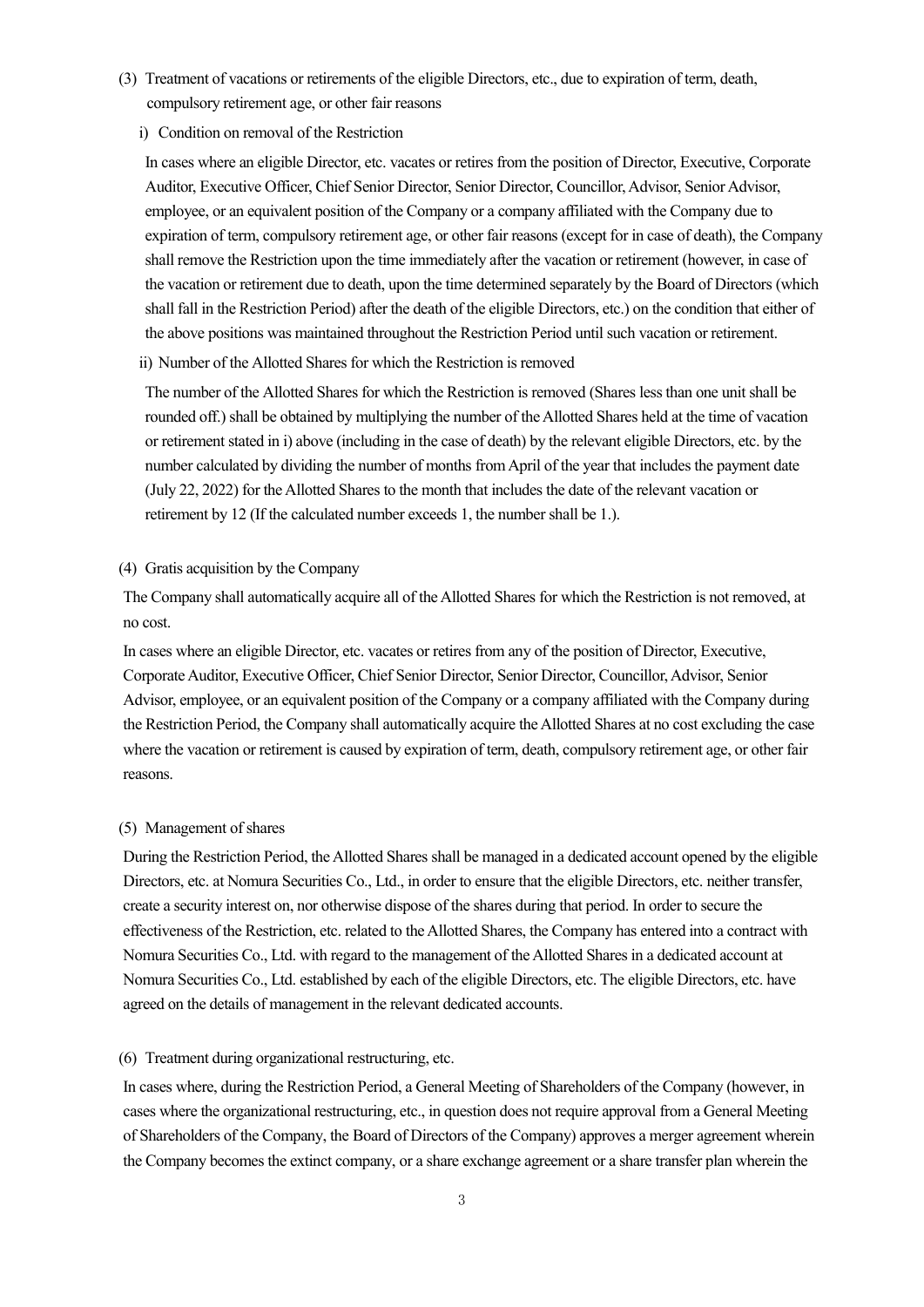- (3) Treatment of vacations or retirements of the eligible Directors, etc., due to expiration of term, death, compulsory retirement age, or other fair reasons
	- i) Condition on removal of the Restriction

In cases where an eligible Director, etc. vacates or retires from the position of Director, Executive, Corporate Auditor, Executive Officer, Chief Senior Director, Senior Director, Councillor, Advisor, Senior Advisor, employee, or an equivalent position of the Company or a company affiliated with the Company due to expiration of term, compulsory retirement age, or other fair reasons (except for in case of death), the Company shall remove the Restriction upon the time immediately after the vacation or retirement (however, in case of the vacation or retirement due to death, upon the time determined separately by the Board of Directors (which shall fall in the Restriction Period) after the death of the eligible Directors, etc.) on the condition that either of the above positions was maintained throughout the Restriction Period until such vacation or retirement.

ii) Number of the Allotted Shares for which the Restriction is removed

The number of the Allotted Shares for which the Restriction is removed (Shares less than one unit shall be rounded off.) shall be obtained by multiplying the number of the Allotted Shares held at the time of vacation or retirement stated in i) above (including in the case of death) by the relevant eligible Directors, etc. by the number calculated by dividing the number of months from April of the year that includes the payment date (July 22, 2022) for the Allotted Shares to the month that includes the date of the relevant vacation or retirement by 12 (If the calculated number exceeds 1, the number shall be 1.).

## (4) Gratis acquisition by the Company

The Company shall automatically acquire all of the Allotted Shares for which the Restriction is not removed, at no cost.

In cases where an eligible Director, etc. vacates or retires from any of the position of Director, Executive, Corporate Auditor, Executive Officer, Chief Senior Director, Senior Director, Councillor, Advisor, Senior Advisor, employee, or an equivalent position of the Company or a company affiliated with the Company during the Restriction Period, the Company shall automatically acquire the Allotted Shares at no cost excluding the case where the vacation or retirement is caused by expiration of term, death, compulsory retirement age, or other fair reasons.

## (5) Management of shares

During the Restriction Period, the Allotted Shares shall be managed in a dedicated account opened by the eligible Directors, etc. at Nomura Securities Co., Ltd., in order to ensure that the eligible Directors, etc. neither transfer, create a security interest on, nor otherwise dispose of the shares during that period. In order to secure the effectiveness of the Restriction, etc. related to the Allotted Shares, the Company has entered into a contract with Nomura Securities Co., Ltd. with regard to the management of the Allotted Shares in a dedicated account at Nomura Securities Co., Ltd. established by each of the eligible Directors, etc. The eligible Directors, etc. have agreed on the details of management in the relevant dedicated accounts.

### (6) Treatment during organizational restructuring, etc.

In cases where, during the Restriction Period, a General Meeting of Shareholders of the Company (however, in cases where the organizational restructuring, etc., in question does not require approval from a General Meeting of Shareholders of the Company, the Board of Directors of the Company) approves a merger agreement wherein the Company becomes the extinct company, or a share exchange agreement or a share transfer plan wherein the